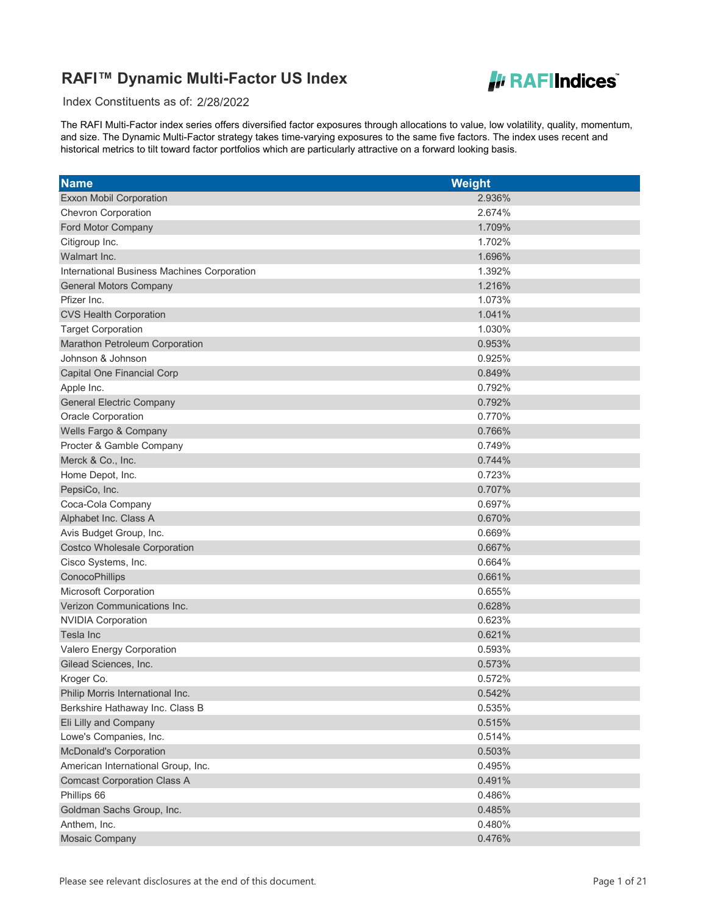

Index Constituents as of: 2/28/2022

| <b>Name</b>                                 | <b>Weight</b> |
|---------------------------------------------|---------------|
| <b>Exxon Mobil Corporation</b>              | 2.936%        |
| Chevron Corporation                         | 2.674%        |
| Ford Motor Company                          | 1.709%        |
| Citigroup Inc.                              | 1.702%        |
| Walmart Inc.                                | 1.696%        |
| International Business Machines Corporation | 1.392%        |
| <b>General Motors Company</b>               | 1.216%        |
| Pfizer Inc.                                 | 1.073%        |
| <b>CVS Health Corporation</b>               | 1.041%        |
| <b>Target Corporation</b>                   | 1.030%        |
| Marathon Petroleum Corporation              | 0.953%        |
| Johnson & Johnson                           | 0.925%        |
| Capital One Financial Corp                  | 0.849%        |
| Apple Inc.                                  | 0.792%        |
| <b>General Electric Company</b>             | 0.792%        |
| <b>Oracle Corporation</b>                   | 0.770%        |
| Wells Fargo & Company                       | 0.766%        |
| Procter & Gamble Company                    | 0.749%        |
| Merck & Co., Inc.                           | 0.744%        |
| Home Depot, Inc.                            | 0.723%        |
| PepsiCo, Inc.                               | 0.707%        |
| Coca-Cola Company                           | 0.697%        |
| Alphabet Inc. Class A                       | 0.670%        |
| Avis Budget Group, Inc.                     | 0.669%        |
| <b>Costco Wholesale Corporation</b>         | 0.667%        |
| Cisco Systems, Inc.                         | 0.664%        |
| ConocoPhillips                              | 0.661%        |
| Microsoft Corporation                       | 0.655%        |
| Verizon Communications Inc.                 | 0.628%        |
| <b>NVIDIA Corporation</b>                   | 0.623%        |
| Tesla Inc                                   | 0.621%        |
| Valero Energy Corporation                   | 0.593%        |
| Gilead Sciences, Inc.                       | 0.573%        |
| Kroger Co.                                  | 0.572%        |
| Philip Morris International Inc.            | 0.542%        |
| Berkshire Hathaway Inc. Class B             | 0.535%        |
| Eli Lilly and Company                       | 0.515%        |
| Lowe's Companies, Inc.                      | 0.514%        |
| <b>McDonald's Corporation</b>               | 0.503%        |
| American International Group, Inc.          | 0.495%        |
| <b>Comcast Corporation Class A</b>          | 0.491%        |
| Phillips 66                                 | 0.486%        |
| Goldman Sachs Group, Inc.                   | 0.485%        |
| Anthem, Inc.                                | 0.480%        |
| Mosaic Company                              | 0.476%        |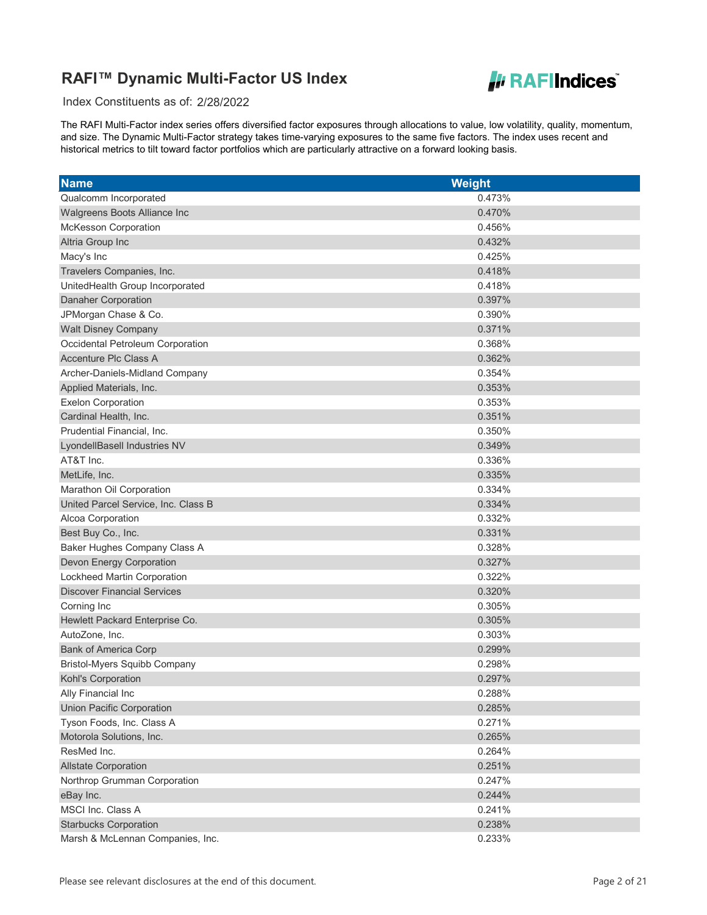

Index Constituents as of: 2/28/2022

| <b>Name</b>                         | <b>Weight</b> |
|-------------------------------------|---------------|
| Qualcomm Incorporated               | 0.473%        |
| Walgreens Boots Alliance Inc        | 0.470%        |
| McKesson Corporation                | 0.456%        |
| Altria Group Inc                    | 0.432%        |
| Macy's Inc                          | 0.425%        |
| Travelers Companies, Inc.           | 0.418%        |
| UnitedHealth Group Incorporated     | 0.418%        |
| <b>Danaher Corporation</b>          | 0.397%        |
| JPMorgan Chase & Co.                | 0.390%        |
| <b>Walt Disney Company</b>          | 0.371%        |
| Occidental Petroleum Corporation    | 0.368%        |
| <b>Accenture Plc Class A</b>        | 0.362%        |
| Archer-Daniels-Midland Company      | 0.354%        |
| Applied Materials, Inc.             | 0.353%        |
| <b>Exelon Corporation</b>           | 0.353%        |
| Cardinal Health, Inc.               | 0.351%        |
| Prudential Financial, Inc.          | 0.350%        |
| LyondellBasell Industries NV        | 0.349%        |
| AT&T Inc.                           | 0.336%        |
| MetLife, Inc.                       | 0.335%        |
| Marathon Oil Corporation            | 0.334%        |
| United Parcel Service, Inc. Class B | 0.334%        |
| Alcoa Corporation                   | 0.332%        |
| Best Buy Co., Inc.                  | 0.331%        |
| Baker Hughes Company Class A        | 0.328%        |
| Devon Energy Corporation            | 0.327%        |
| Lockheed Martin Corporation         | 0.322%        |
| <b>Discover Financial Services</b>  | 0.320%        |
| Corning Inc                         | 0.305%        |
| Hewlett Packard Enterprise Co.      | 0.305%        |
| AutoZone, Inc.                      | 0.303%        |
| <b>Bank of America Corp</b>         | 0.299%        |
| Bristol-Myers Squibb Company        | 0.298%        |
| Kohl's Corporation                  | 0.297%        |
| Ally Financial Inc                  | 0.288%        |
| <b>Union Pacific Corporation</b>    | 0.285%        |
| Tyson Foods, Inc. Class A           | 0.271%        |
| Motorola Solutions, Inc.            | 0.265%        |
| ResMed Inc.                         | 0.264%        |
| <b>Allstate Corporation</b>         | 0.251%        |
| Northrop Grumman Corporation        | 0.247%        |
| eBay Inc.                           | 0.244%        |
| MSCI Inc. Class A                   | 0.241%        |
| <b>Starbucks Corporation</b>        | 0.238%        |
| Marsh & McLennan Companies, Inc.    | 0.233%        |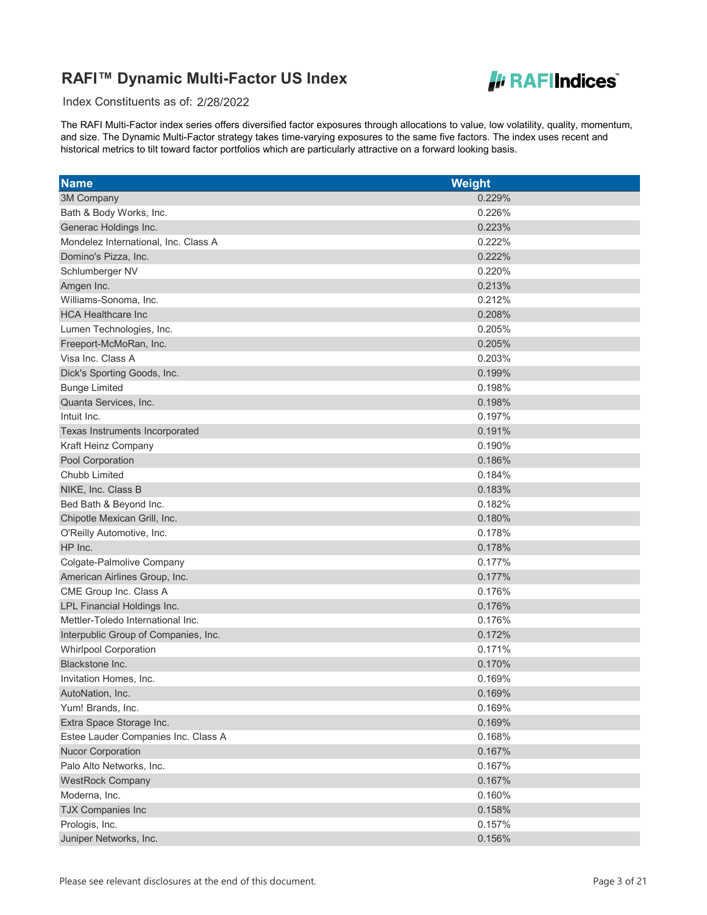

Index Constituents as of: 2/28/2022

| <b>Name</b>                          | <b>Weight</b> |
|--------------------------------------|---------------|
| 3M Company                           | 0.229%        |
| Bath & Body Works, Inc.              | 0.226%        |
| Generac Holdings Inc.                | 0.223%        |
| Mondelez International, Inc. Class A | 0.222%        |
| Domino's Pizza, Inc.                 | 0.222%        |
| Schlumberger NV                      | 0.220%        |
| Amgen Inc.                           | 0.213%        |
| Williams-Sonoma, Inc.                | 0.212%        |
| <b>HCA Healthcare Inc</b>            | 0.208%        |
| Lumen Technologies, Inc.             | 0.205%        |
| Freeport-McMoRan, Inc.               | 0.205%        |
| Visa Inc. Class A                    | 0.203%        |
| Dick's Sporting Goods, Inc.          | 0.199%        |
| <b>Bunge Limited</b>                 | 0.198%        |
| Quanta Services, Inc.                | 0.198%        |
| Intuit Inc.                          | 0.197%        |
| Texas Instruments Incorporated       | 0.191%        |
| Kraft Heinz Company                  | 0.190%        |
| Pool Corporation                     | 0.186%        |
| Chubb Limited                        | 0.184%        |
| NIKE, Inc. Class B                   | 0.183%        |
| Bed Bath & Beyond Inc.               | 0.182%        |
| Chipotle Mexican Grill, Inc.         | 0.180%        |
| O'Reilly Automotive, Inc.            | 0.178%        |
| HP Inc.                              | 0.178%        |
| Colgate-Palmolive Company            | 0.177%        |
| American Airlines Group, Inc.        | 0.177%        |
| CME Group Inc. Class A               | 0.176%        |
| LPL Financial Holdings Inc.          | 0.176%        |
| Mettler-Toledo International Inc.    | 0.176%        |
| Interpublic Group of Companies, Inc. | 0.172%        |
| <b>Whirlpool Corporation</b>         | 0.171%        |
| Blackstone Inc.                      | 0.170%        |
| Invitation Homes, Inc.               | 0.169%        |
| AutoNation, Inc.                     | 0.169%        |
| Yum! Brands, Inc.                    | 0.169%        |
| Extra Space Storage Inc.             | 0.169%        |
| Estee Lauder Companies Inc. Class A  | 0.168%        |
| <b>Nucor Corporation</b>             | 0.167%        |
| Palo Alto Networks, Inc.             | 0.167%        |
| <b>WestRock Company</b>              | 0.167%        |
| Moderna, Inc.                        | 0.160%        |
| <b>TJX Companies Inc</b>             | 0.158%        |
| Prologis, Inc.                       | 0.157%        |
| Juniper Networks, Inc.               | 0.156%        |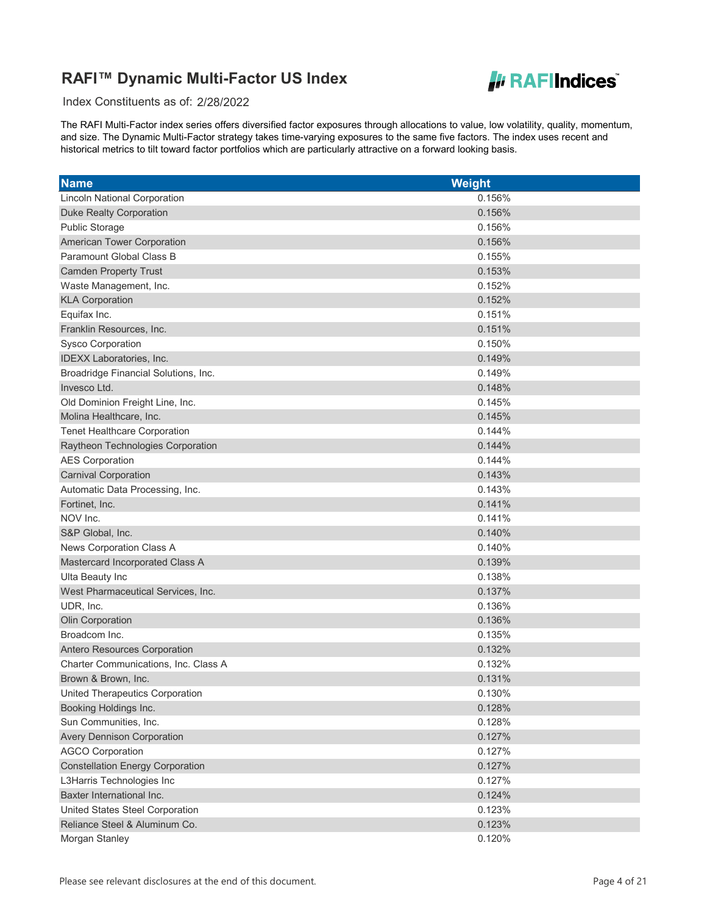

Index Constituents as of: 2/28/2022

| <b>Name</b>                             | <b>Weight</b> |
|-----------------------------------------|---------------|
| <b>Lincoln National Corporation</b>     | 0.156%        |
| <b>Duke Realty Corporation</b>          | 0.156%        |
| <b>Public Storage</b>                   | 0.156%        |
| American Tower Corporation              | 0.156%        |
| Paramount Global Class B                | 0.155%        |
| <b>Camden Property Trust</b>            | 0.153%        |
| Waste Management, Inc.                  | 0.152%        |
| <b>KLA Corporation</b>                  | 0.152%        |
| Equifax Inc.                            | 0.151%        |
| Franklin Resources, Inc.                | 0.151%        |
| <b>Sysco Corporation</b>                | 0.150%        |
| IDEXX Laboratories, Inc.                | 0.149%        |
| Broadridge Financial Solutions, Inc.    | 0.149%        |
| Invesco Ltd.                            | 0.148%        |
| Old Dominion Freight Line, Inc.         | 0.145%        |
| Molina Healthcare, Inc.                 | 0.145%        |
| <b>Tenet Healthcare Corporation</b>     | 0.144%        |
| Raytheon Technologies Corporation       | 0.144%        |
| <b>AES Corporation</b>                  | 0.144%        |
| <b>Carnival Corporation</b>             | 0.143%        |
| Automatic Data Processing, Inc.         | 0.143%        |
| Fortinet, Inc.                          | 0.141%        |
| NOV Inc.                                | 0.141%        |
| S&P Global, Inc.                        | 0.140%        |
| News Corporation Class A                | 0.140%        |
| Mastercard Incorporated Class A         | 0.139%        |
| Ulta Beauty Inc                         | 0.138%        |
| West Pharmaceutical Services, Inc.      | 0.137%        |
| UDR, Inc.                               | 0.136%        |
| Olin Corporation                        | 0.136%        |
| Broadcom Inc.                           | 0.135%        |
| Antero Resources Corporation            | 0.132%        |
| Charter Communications, Inc. Class A    | 0.132%        |
| Brown & Brown, Inc.                     | 0.131%        |
| United Therapeutics Corporation         | 0.130%        |
| Booking Holdings Inc.                   | 0.128%        |
| Sun Communities, Inc.                   | 0.128%        |
| <b>Avery Dennison Corporation</b>       | 0.127%        |
| <b>AGCO Corporation</b>                 | 0.127%        |
| <b>Constellation Energy Corporation</b> | 0.127%        |
| L3Harris Technologies Inc               | 0.127%        |
| Baxter International Inc.               | 0.124%        |
| United States Steel Corporation         | 0.123%        |
| Reliance Steel & Aluminum Co.           | 0.123%        |
| Morgan Stanley                          | 0.120%        |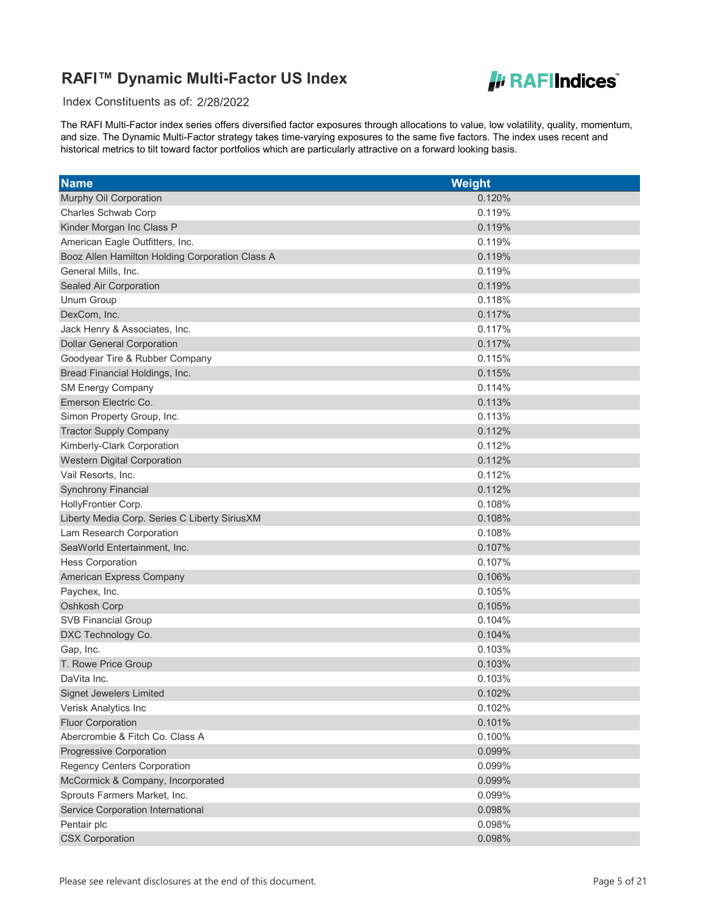

Index Constituents as of: 2/28/2022

| <b>Name</b>                                     | Weight |
|-------------------------------------------------|--------|
| Murphy Oil Corporation                          | 0.120% |
| Charles Schwab Corp                             | 0.119% |
| Kinder Morgan Inc Class P                       | 0.119% |
| American Eagle Outfitters, Inc.                 | 0.119% |
| Booz Allen Hamilton Holding Corporation Class A | 0.119% |
| General Mills, Inc.                             | 0.119% |
| Sealed Air Corporation                          | 0.119% |
| Unum Group                                      | 0.118% |
| DexCom, Inc.                                    | 0.117% |
| Jack Henry & Associates, Inc.                   | 0.117% |
| <b>Dollar General Corporation</b>               | 0.117% |
| Goodyear Tire & Rubber Company                  | 0.115% |
| Bread Financial Holdings, Inc.                  | 0.115% |
| <b>SM Energy Company</b>                        | 0.114% |
| Emerson Electric Co.                            | 0.113% |
| Simon Property Group, Inc.                      | 0.113% |
| <b>Tractor Supply Company</b>                   | 0.112% |
| Kimberly-Clark Corporation                      | 0.112% |
| <b>Western Digital Corporation</b>              | 0.112% |
| Vail Resorts, Inc.                              | 0.112% |
| <b>Synchrony Financial</b>                      | 0.112% |
| HollyFrontier Corp.                             | 0.108% |
| Liberty Media Corp. Series C Liberty SiriusXM   | 0.108% |
| Lam Research Corporation                        | 0.108% |
| SeaWorld Entertainment, Inc.                    | 0.107% |
| <b>Hess Corporation</b>                         | 0.107% |
| American Express Company                        | 0.106% |
| Paychex, Inc.                                   | 0.105% |
| Oshkosh Corp                                    | 0.105% |
| <b>SVB Financial Group</b>                      | 0.104% |
| DXC Technology Co.                              | 0.104% |
| Gap, Inc.                                       | 0.103% |
| T. Rowe Price Group                             | 0.103% |
| DaVita Inc.                                     | 0.103% |
| Signet Jewelers Limited                         | 0.102% |
| Verisk Analytics Inc                            | 0.102% |
| <b>Fluor Corporation</b>                        | 0.101% |
| Abercrombie & Fitch Co. Class A                 | 0.100% |
| Progressive Corporation                         | 0.099% |
| <b>Regency Centers Corporation</b>              | 0.099% |
| McCormick & Company, Incorporated               | 0.099% |
| Sprouts Farmers Market, Inc.                    | 0.099% |
| Service Corporation International               | 0.098% |
| Pentair plc                                     | 0.098% |
| <b>CSX Corporation</b>                          | 0.098% |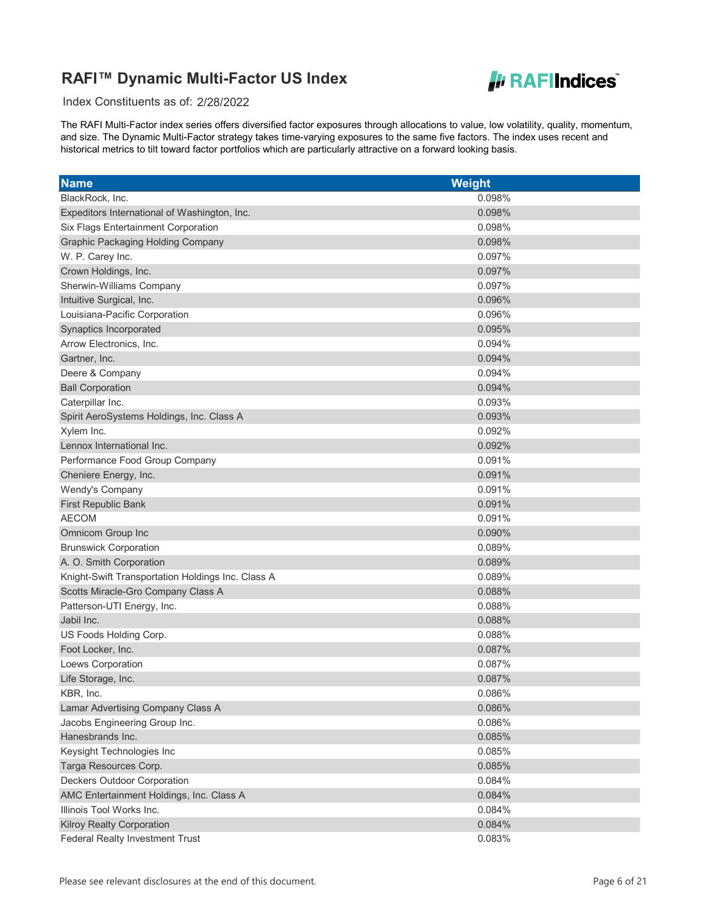

Index Constituents as of: 2/28/2022

| <b>Name</b>                                       | <b>Weight</b> |
|---------------------------------------------------|---------------|
| BlackRock, Inc.                                   | 0.098%        |
| Expeditors International of Washington, Inc.      | 0.098%        |
| Six Flags Entertainment Corporation               | 0.098%        |
| <b>Graphic Packaging Holding Company</b>          | 0.098%        |
| W. P. Carey Inc.                                  | 0.097%        |
| Crown Holdings, Inc.                              | 0.097%        |
| Sherwin-Williams Company                          | 0.097%        |
| Intuitive Surgical, Inc.                          | 0.096%        |
| Louisiana-Pacific Corporation                     | 0.096%        |
| Synaptics Incorporated                            | 0.095%        |
| Arrow Electronics, Inc.                           | 0.094%        |
| Gartner, Inc.                                     | 0.094%        |
| Deere & Company                                   | 0.094%        |
| <b>Ball Corporation</b>                           | 0.094%        |
| Caterpillar Inc.                                  | 0.093%        |
| Spirit AeroSystems Holdings, Inc. Class A         | 0.093%        |
| Xylem Inc.                                        | 0.092%        |
| Lennox International Inc.                         | 0.092%        |
| Performance Food Group Company                    | 0.091%        |
| Cheniere Energy, Inc.                             | 0.091%        |
| Wendy's Company                                   | 0.091%        |
| <b>First Republic Bank</b>                        | 0.091%        |
| <b>AECOM</b>                                      | 0.091%        |
| Omnicom Group Inc                                 | 0.090%        |
| <b>Brunswick Corporation</b>                      | 0.089%        |
| A. O. Smith Corporation                           | 0.089%        |
| Knight-Swift Transportation Holdings Inc. Class A | 0.089%        |
| Scotts Miracle-Gro Company Class A                | 0.088%        |
| Patterson-UTI Energy, Inc.                        | 0.088%        |
| Jabil Inc.                                        | 0.088%        |
| US Foods Holding Corp.                            | 0.088%        |
| Foot Locker, Inc.                                 | 0.087%        |
| Loews Corporation                                 | 0.087%        |
| Life Storage, Inc.                                | 0.087%        |
| KBR, Inc.                                         | 0.086%        |
| Lamar Advertising Company Class A                 | 0.086%        |
| Jacobs Engineering Group Inc.                     | 0.086%        |
| Hanesbrands Inc.                                  | 0.085%        |
| Keysight Technologies Inc                         | 0.085%        |
| Targa Resources Corp.                             | 0.085%        |
| <b>Deckers Outdoor Corporation</b>                | 0.084%        |
| AMC Entertainment Holdings, Inc. Class A          | 0.084%        |
| Illinois Tool Works Inc.                          | 0.084%        |
| <b>Kilroy Realty Corporation</b>                  | 0.084%        |
| <b>Federal Realty Investment Trust</b>            | 0.083%        |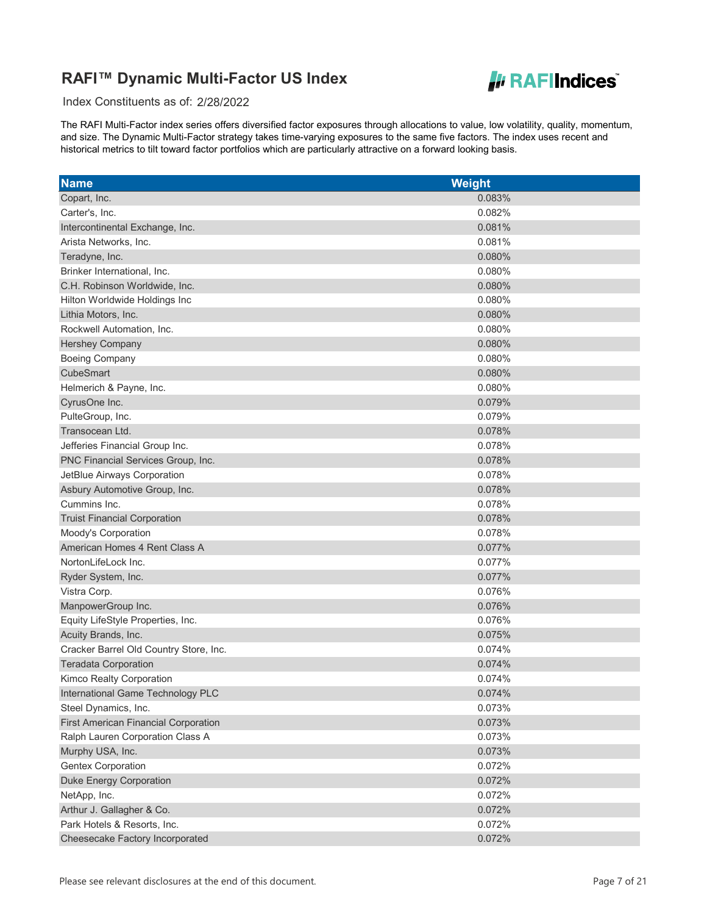

Index Constituents as of: 2/28/2022

| <b>Name</b>                                 | <b>Weight</b> |
|---------------------------------------------|---------------|
| Copart, Inc.                                | 0.083%        |
| Carter's, Inc.                              | 0.082%        |
| Intercontinental Exchange, Inc.             | 0.081%        |
| Arista Networks, Inc.                       | 0.081%        |
| Teradyne, Inc.                              | 0.080%        |
| Brinker International, Inc.                 | 0.080%        |
| C.H. Robinson Worldwide, Inc.               | 0.080%        |
| Hilton Worldwide Holdings Inc               | 0.080%        |
| Lithia Motors, Inc.                         | 0.080%        |
| Rockwell Automation, Inc.                   | 0.080%        |
| <b>Hershey Company</b>                      | 0.080%        |
| <b>Boeing Company</b>                       | 0.080%        |
| CubeSmart                                   | 0.080%        |
| Helmerich & Payne, Inc.                     | 0.080%        |
| CyrusOne Inc.                               | 0.079%        |
| PulteGroup, Inc.                            | 0.079%        |
| Transocean Ltd.                             | 0.078%        |
| Jefferies Financial Group Inc.              | 0.078%        |
| PNC Financial Services Group, Inc.          | 0.078%        |
| JetBlue Airways Corporation                 | 0.078%        |
| Asbury Automotive Group, Inc.               | 0.078%        |
| Cummins Inc.                                | 0.078%        |
| <b>Truist Financial Corporation</b>         | 0.078%        |
| Moody's Corporation                         | 0.078%        |
| American Homes 4 Rent Class A               | 0.077%        |
| NortonLifeLock Inc.                         | 0.077%        |
| Ryder System, Inc.                          | 0.077%        |
| Vistra Corp.                                | 0.076%        |
| ManpowerGroup Inc.                          | 0.076%        |
| Equity LifeStyle Properties, Inc.           | 0.076%        |
| Acuity Brands, Inc.                         | 0.075%        |
| Cracker Barrel Old Country Store, Inc.      | 0.074%        |
| <b>Teradata Corporation</b>                 | 0.074%        |
| Kimco Realty Corporation                    | 0.074%        |
| International Game Technology PLC           | 0.074%        |
| Steel Dynamics, Inc.                        | 0.073%        |
| <b>First American Financial Corporation</b> | 0.073%        |
| Ralph Lauren Corporation Class A            | 0.073%        |
| Murphy USA, Inc.                            | 0.073%        |
| <b>Gentex Corporation</b>                   | 0.072%        |
| <b>Duke Energy Corporation</b>              | 0.072%        |
| NetApp, Inc.                                | 0.072%        |
| Arthur J. Gallagher & Co.                   | 0.072%        |
| Park Hotels & Resorts, Inc.                 | 0.072%        |
| Cheesecake Factory Incorporated             | 0.072%        |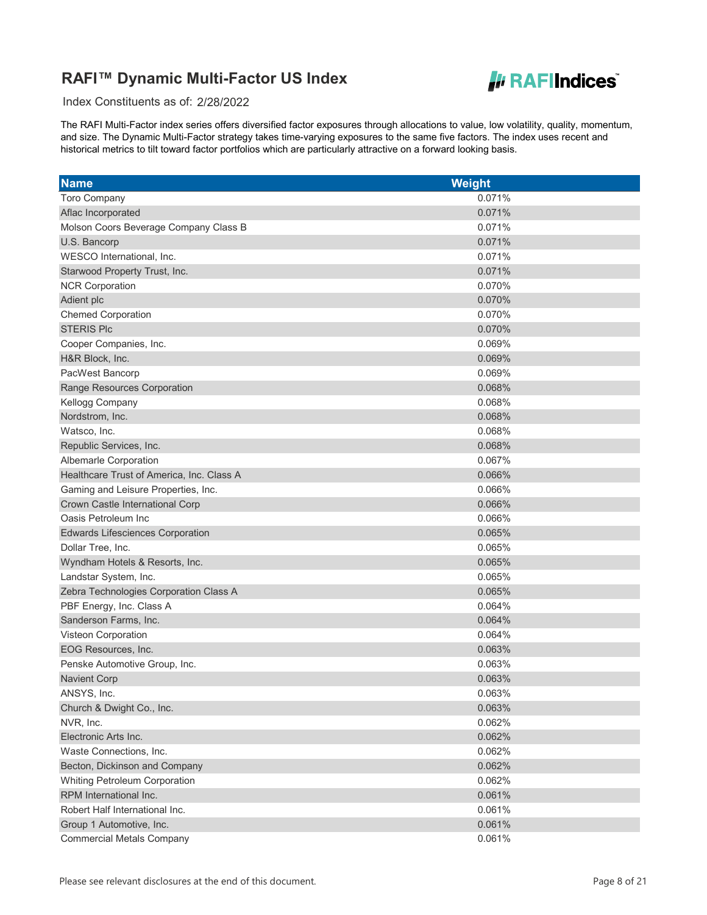

Index Constituents as of: 2/28/2022

| <b>Name</b>                               | <b>Weight</b> |
|-------------------------------------------|---------------|
| <b>Toro Company</b>                       | 0.071%        |
| Aflac Incorporated                        | 0.071%        |
| Molson Coors Beverage Company Class B     | 0.071%        |
| U.S. Bancorp                              | 0.071%        |
| WESCO International, Inc.                 | 0.071%        |
| Starwood Property Trust, Inc.             | 0.071%        |
| <b>NCR Corporation</b>                    | 0.070%        |
| Adient plc                                | 0.070%        |
| <b>Chemed Corporation</b>                 | 0.070%        |
| <b>STERIS Plc</b>                         | 0.070%        |
| Cooper Companies, Inc.                    | 0.069%        |
| H&R Block, Inc.                           | 0.069%        |
| PacWest Bancorp                           | 0.069%        |
| Range Resources Corporation               | 0.068%        |
| Kellogg Company                           | 0.068%        |
| Nordstrom, Inc.                           | 0.068%        |
| Watsco, Inc.                              | 0.068%        |
| Republic Services, Inc.                   | 0.068%        |
| Albemarle Corporation                     | 0.067%        |
| Healthcare Trust of America, Inc. Class A | 0.066%        |
| Gaming and Leisure Properties, Inc.       | 0.066%        |
| Crown Castle International Corp           | 0.066%        |
| Oasis Petroleum Inc                       | 0.066%        |
| <b>Edwards Lifesciences Corporation</b>   | 0.065%        |
| Dollar Tree, Inc.                         | 0.065%        |
| Wyndham Hotels & Resorts, Inc.            | 0.065%        |
| Landstar System, Inc.                     | 0.065%        |
| Zebra Technologies Corporation Class A    | 0.065%        |
| PBF Energy, Inc. Class A                  | 0.064%        |
| Sanderson Farms, Inc.                     | 0.064%        |
| Visteon Corporation                       | 0.064%        |
| EOG Resources, Inc.                       | 0.063%        |
| Penske Automotive Group, Inc.             | 0.063%        |
| <b>Navient Corp</b>                       | 0.063%        |
| ANSYS, Inc.                               | 0.063%        |
| Church & Dwight Co., Inc.                 | 0.063%        |
| NVR, Inc.                                 | 0.062%        |
| Electronic Arts Inc.                      | 0.062%        |
| Waste Connections, Inc.                   | 0.062%        |
| Becton, Dickinson and Company             | 0.062%        |
| Whiting Petroleum Corporation             | 0.062%        |
| RPM International Inc.                    | 0.061%        |
| Robert Half International Inc.            | 0.061%        |
| Group 1 Automotive, Inc.                  | 0.061%        |
| <b>Commercial Metals Company</b>          | 0.061%        |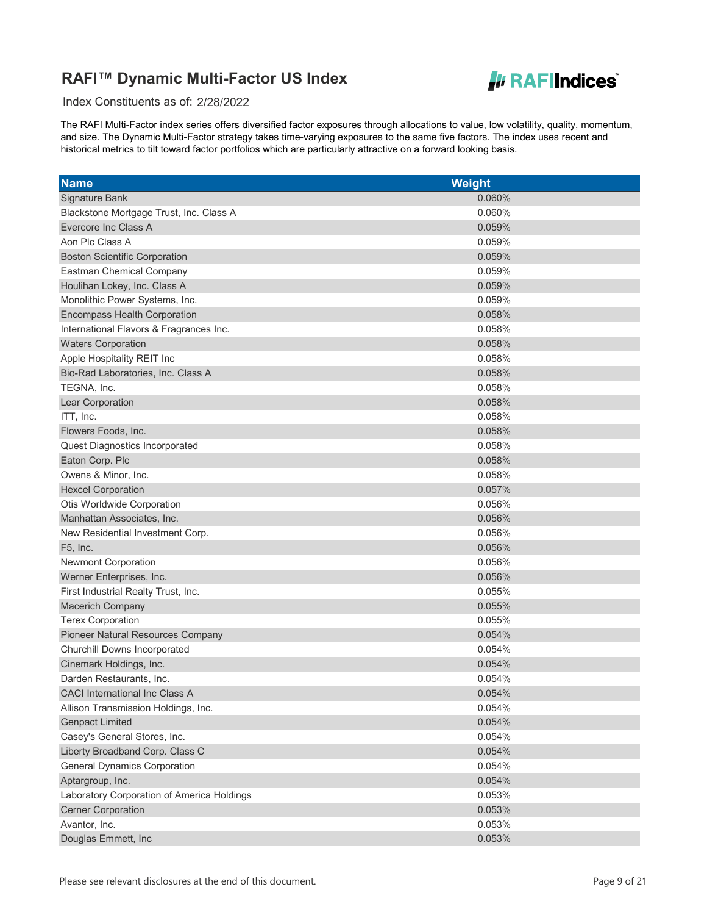

Index Constituents as of: 2/28/2022

| <b>Name</b>                                | <b>Weight</b> |
|--------------------------------------------|---------------|
| Signature Bank                             | 0.060%        |
| Blackstone Mortgage Trust, Inc. Class A    | 0.060%        |
| Evercore Inc Class A                       | 0.059%        |
| Aon Plc Class A                            | 0.059%        |
| <b>Boston Scientific Corporation</b>       | 0.059%        |
| <b>Eastman Chemical Company</b>            | 0.059%        |
| Houlihan Lokey, Inc. Class A               | 0.059%        |
| Monolithic Power Systems, Inc.             | 0.059%        |
| <b>Encompass Health Corporation</b>        | 0.058%        |
| International Flavors & Fragrances Inc.    | 0.058%        |
| <b>Waters Corporation</b>                  | 0.058%        |
| Apple Hospitality REIT Inc                 | 0.058%        |
| Bio-Rad Laboratories, Inc. Class A         | 0.058%        |
| TEGNA, Inc.                                | 0.058%        |
| Lear Corporation                           | 0.058%        |
| ITT, Inc.                                  | 0.058%        |
| Flowers Foods, Inc.                        | 0.058%        |
| Quest Diagnostics Incorporated             | 0.058%        |
| Eaton Corp. Plc                            | 0.058%        |
| Owens & Minor, Inc.                        | 0.058%        |
| <b>Hexcel Corporation</b>                  | 0.057%        |
| Otis Worldwide Corporation                 | 0.056%        |
| Manhattan Associates, Inc.                 | 0.056%        |
| New Residential Investment Corp.           | 0.056%        |
| F5, Inc.                                   | 0.056%        |
| <b>Newmont Corporation</b>                 | 0.056%        |
| Werner Enterprises, Inc.                   | 0.056%        |
| First Industrial Realty Trust, Inc.        | 0.055%        |
| Macerich Company                           | 0.055%        |
| <b>Terex Corporation</b>                   | 0.055%        |
| Pioneer Natural Resources Company          | 0.054%        |
| Churchill Downs Incorporated               | 0.054%        |
| Cinemark Holdings, Inc.                    | 0.054%        |
| Darden Restaurants, Inc.                   | 0.054%        |
| CACI International Inc Class A             | 0.054%        |
| Allison Transmission Holdings, Inc.        | 0.054%        |
| <b>Genpact Limited</b>                     | 0.054%        |
| Casey's General Stores, Inc.               | 0.054%        |
| Liberty Broadband Corp. Class C            | 0.054%        |
| <b>General Dynamics Corporation</b>        | 0.054%        |
| Aptargroup, Inc.                           | 0.054%        |
| Laboratory Corporation of America Holdings | 0.053%        |
| <b>Cerner Corporation</b>                  | 0.053%        |
| Avantor, Inc.                              | 0.053%        |
| Douglas Emmett, Inc                        | 0.053%        |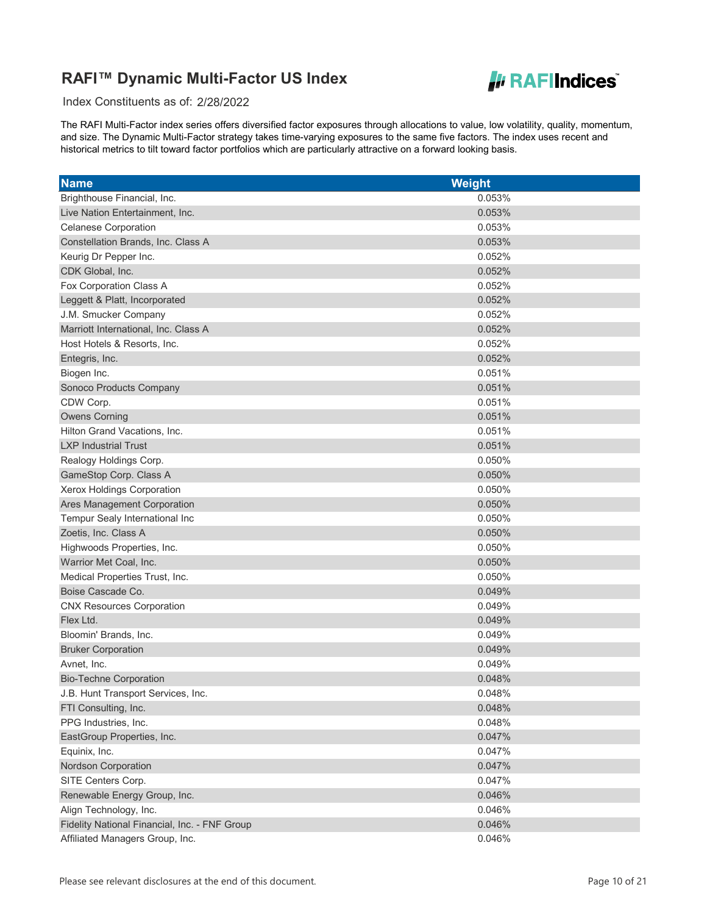

Index Constituents as of: 2/28/2022

| <b>Name</b>                                   | <b>Weight</b> |
|-----------------------------------------------|---------------|
| Brighthouse Financial, Inc.                   | 0.053%        |
| Live Nation Entertainment, Inc.               | 0.053%        |
| <b>Celanese Corporation</b>                   | 0.053%        |
| Constellation Brands, Inc. Class A            | 0.053%        |
| Keurig Dr Pepper Inc.                         | 0.052%        |
| CDK Global, Inc.                              | 0.052%        |
| Fox Corporation Class A                       | 0.052%        |
| Leggett & Platt, Incorporated                 | 0.052%        |
| J.M. Smucker Company                          | 0.052%        |
| Marriott International, Inc. Class A          | 0.052%        |
| Host Hotels & Resorts, Inc.                   | 0.052%        |
| Entegris, Inc.                                | 0.052%        |
| Biogen Inc.                                   | 0.051%        |
| Sonoco Products Company                       | 0.051%        |
| CDW Corp.                                     | 0.051%        |
| <b>Owens Corning</b>                          | 0.051%        |
| Hilton Grand Vacations, Inc.                  | 0.051%        |
| <b>LXP Industrial Trust</b>                   | 0.051%        |
| Realogy Holdings Corp.                        | 0.050%        |
| GameStop Corp. Class A                        | 0.050%        |
| Xerox Holdings Corporation                    | 0.050%        |
| Ares Management Corporation                   | 0.050%        |
| Tempur Sealy International Inc                | 0.050%        |
| Zoetis, Inc. Class A                          | 0.050%        |
| Highwoods Properties, Inc.                    | 0.050%        |
| Warrior Met Coal, Inc.                        | 0.050%        |
| Medical Properties Trust, Inc.                | 0.050%        |
| Boise Cascade Co.                             | 0.049%        |
| <b>CNX Resources Corporation</b>              | 0.049%        |
| Flex Ltd.                                     | 0.049%        |
| Bloomin' Brands, Inc.                         | 0.049%        |
| <b>Bruker Corporation</b>                     | 0.049%        |
| Avnet, Inc.                                   | 0.049%        |
| <b>Bio-Techne Corporation</b>                 | 0.048%        |
| J.B. Hunt Transport Services, Inc.            | 0.048%        |
| FTI Consulting, Inc.                          | 0.048%        |
| PPG Industries, Inc.                          | 0.048%        |
| EastGroup Properties, Inc.                    | 0.047%        |
| Equinix, Inc.                                 | 0.047%        |
| Nordson Corporation                           | 0.047%        |
| SITE Centers Corp.                            | 0.047%        |
| Renewable Energy Group, Inc.                  | 0.046%        |
| Align Technology, Inc.                        | 0.046%        |
| Fidelity National Financial, Inc. - FNF Group | 0.046%        |
| Affiliated Managers Group, Inc.               | 0.046%        |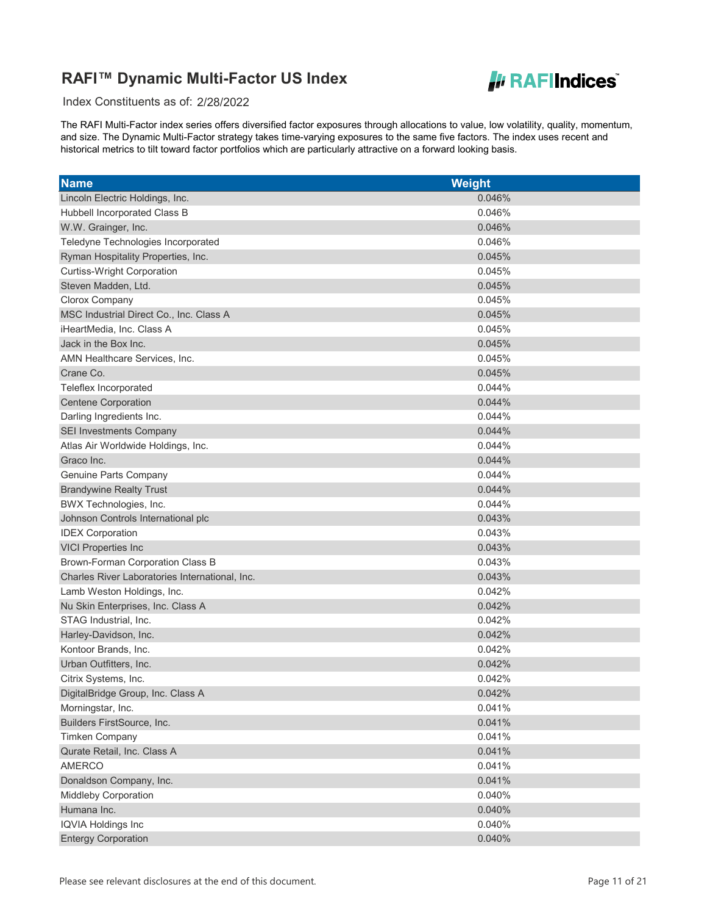

Index Constituents as of: 2/28/2022

| <b>Name</b>                                    | <b>Weight</b> |
|------------------------------------------------|---------------|
| Lincoln Electric Holdings, Inc.                | 0.046%        |
| Hubbell Incorporated Class B                   | 0.046%        |
| W.W. Grainger, Inc.                            | 0.046%        |
| Teledyne Technologies Incorporated             | 0.046%        |
| Ryman Hospitality Properties, Inc.             | 0.045%        |
| <b>Curtiss-Wright Corporation</b>              | 0.045%        |
| Steven Madden, Ltd.                            | 0.045%        |
| Clorox Company                                 | 0.045%        |
| MSC Industrial Direct Co., Inc. Class A        | 0.045%        |
| iHeartMedia, Inc. Class A                      | 0.045%        |
| Jack in the Box Inc.                           | 0.045%        |
| AMN Healthcare Services, Inc.                  | 0.045%        |
| Crane Co.                                      | 0.045%        |
| Teleflex Incorporated                          | 0.044%        |
| <b>Centene Corporation</b>                     | 0.044%        |
| Darling Ingredients Inc.                       | 0.044%        |
| <b>SEI Investments Company</b>                 | 0.044%        |
| Atlas Air Worldwide Holdings, Inc.             | 0.044%        |
| Graco Inc.                                     | 0.044%        |
| Genuine Parts Company                          | 0.044%        |
| <b>Brandywine Realty Trust</b>                 | 0.044%        |
| BWX Technologies, Inc.                         | 0.044%        |
| Johnson Controls International plc             | 0.043%        |
| <b>IDEX Corporation</b>                        | 0.043%        |
| <b>VICI Properties Inc</b>                     | 0.043%        |
| Brown-Forman Corporation Class B               | 0.043%        |
| Charles River Laboratories International, Inc. | 0.043%        |
| Lamb Weston Holdings, Inc.                     | 0.042%        |
| Nu Skin Enterprises, Inc. Class A              | 0.042%        |
| STAG Industrial, Inc.                          | 0.042%        |
| Harley-Davidson, Inc.                          | 0.042%        |
| Kontoor Brands, Inc.                           | 0.042%        |
| Urban Outfitters, Inc.                         | 0.042%        |
| Citrix Systems, Inc.                           | 0.042%        |
| DigitalBridge Group, Inc. Class A              | 0.042%        |
| Morningstar, Inc.                              | 0.041%        |
| Builders FirstSource, Inc.                     | 0.041%        |
| <b>Timken Company</b>                          | 0.041%        |
| Qurate Retail, Inc. Class A                    | 0.041%        |
| <b>AMERCO</b>                                  | 0.041%        |
| Donaldson Company, Inc.                        | 0.041%        |
| Middleby Corporation                           | 0.040%        |
| Humana Inc.                                    | 0.040%        |
| <b>IQVIA Holdings Inc</b>                      | 0.040%        |
| <b>Entergy Corporation</b>                     | 0.040%        |
|                                                |               |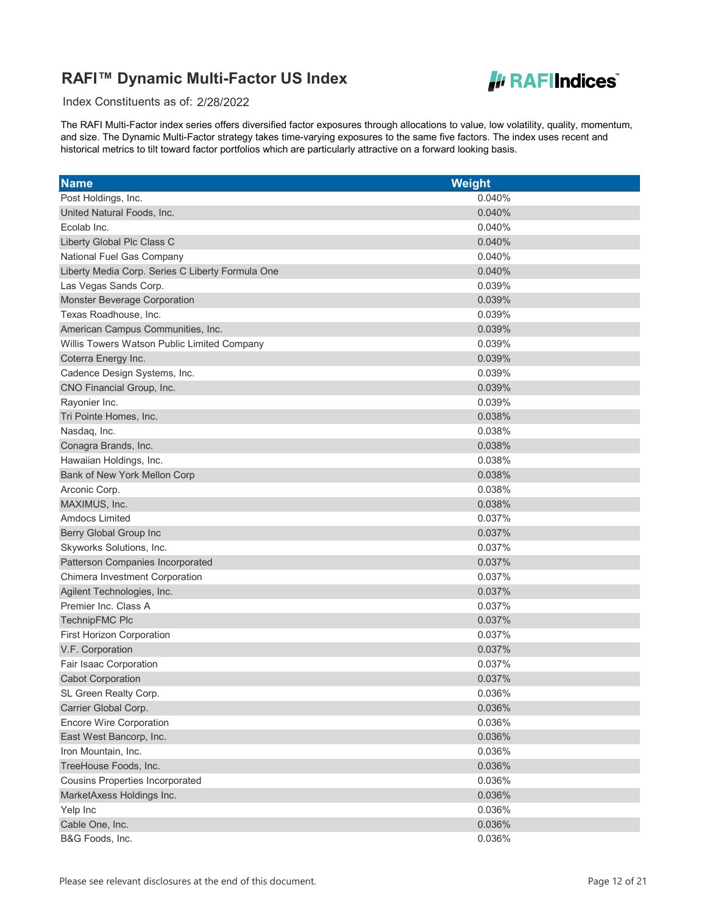

Index Constituents as of: 2/28/2022

| <b>Name</b>                                      | Weight |
|--------------------------------------------------|--------|
| Post Holdings, Inc.                              | 0.040% |
| United Natural Foods, Inc.                       | 0.040% |
| Ecolab Inc.                                      | 0.040% |
| Liberty Global Plc Class C                       | 0.040% |
| National Fuel Gas Company                        | 0.040% |
| Liberty Media Corp. Series C Liberty Formula One | 0.040% |
| Las Vegas Sands Corp.                            | 0.039% |
| Monster Beverage Corporation                     | 0.039% |
| Texas Roadhouse, Inc.                            | 0.039% |
| American Campus Communities, Inc.                | 0.039% |
| Willis Towers Watson Public Limited Company      | 0.039% |
| Coterra Energy Inc.                              | 0.039% |
| Cadence Design Systems, Inc.                     | 0.039% |
| CNO Financial Group, Inc.                        | 0.039% |
| Rayonier Inc.                                    | 0.039% |
| Tri Pointe Homes, Inc.                           | 0.038% |
| Nasdaq, Inc.                                     | 0.038% |
| Conagra Brands, Inc.                             | 0.038% |
| Hawaiian Holdings, Inc.                          | 0.038% |
| Bank of New York Mellon Corp                     | 0.038% |
| Arconic Corp.                                    | 0.038% |
| MAXIMUS, Inc.                                    | 0.038% |
| <b>Amdocs Limited</b>                            | 0.037% |
| Berry Global Group Inc                           | 0.037% |
| Skyworks Solutions, Inc.                         | 0.037% |
| Patterson Companies Incorporated                 | 0.037% |
| Chimera Investment Corporation                   | 0.037% |
| Agilent Technologies, Inc.                       | 0.037% |
| Premier Inc. Class A                             | 0.037% |
| <b>TechnipFMC Plc</b>                            | 0.037% |
| First Horizon Corporation                        | 0.037% |
| V.F. Corporation                                 | 0.037% |
| Fair Isaac Corporation                           | 0.037% |
| <b>Cabot Corporation</b>                         | 0.037% |
| SL Green Realty Corp.                            | 0.036% |
| Carrier Global Corp.                             | 0.036% |
| <b>Encore Wire Corporation</b>                   | 0.036% |
| East West Bancorp, Inc.                          | 0.036% |
| Iron Mountain, Inc.                              | 0.036% |
| TreeHouse Foods, Inc.                            | 0.036% |
| <b>Cousins Properties Incorporated</b>           | 0.036% |
| MarketAxess Holdings Inc.                        | 0.036% |
| Yelp Inc                                         | 0.036% |
| Cable One, Inc.                                  | 0.036% |
| B&G Foods, Inc.                                  | 0.036% |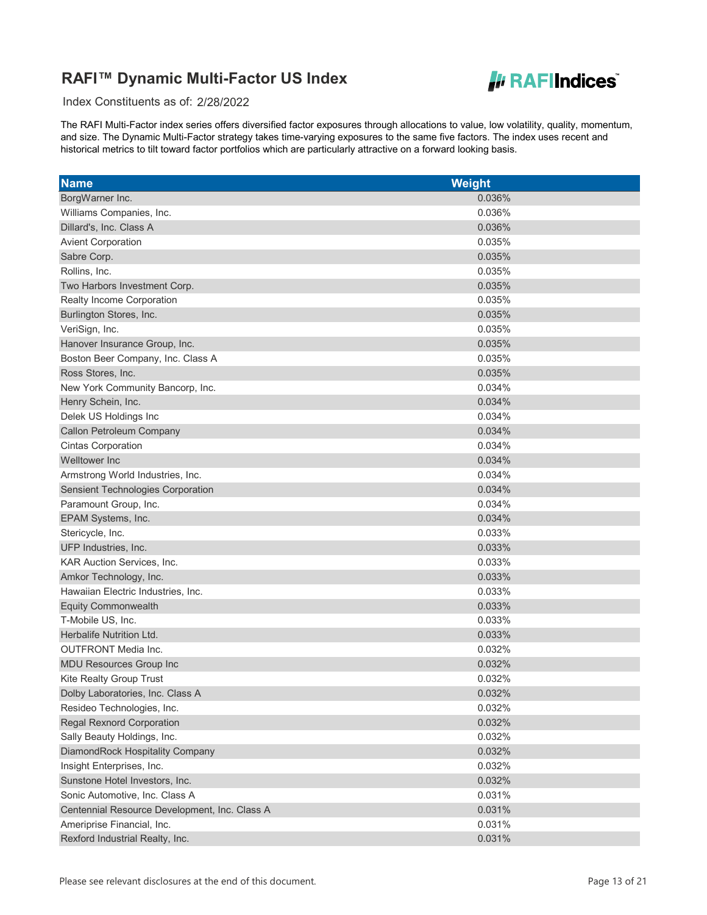

Index Constituents as of: 2/28/2022

| <b>Name</b>                                   | <b>Weight</b> |
|-----------------------------------------------|---------------|
| BorgWarner Inc.                               | 0.036%        |
| Williams Companies, Inc.                      | 0.036%        |
| Dillard's, Inc. Class A                       | 0.036%        |
| <b>Avient Corporation</b>                     | 0.035%        |
| Sabre Corp.                                   | 0.035%        |
| Rollins, Inc.                                 | 0.035%        |
| Two Harbors Investment Corp.                  | 0.035%        |
| Realty Income Corporation                     | 0.035%        |
| Burlington Stores, Inc.                       | 0.035%        |
| VeriSign, Inc.                                | 0.035%        |
| Hanover Insurance Group, Inc.                 | 0.035%        |
| Boston Beer Company, Inc. Class A             | 0.035%        |
| Ross Stores, Inc.                             | 0.035%        |
| New York Community Bancorp, Inc.              | 0.034%        |
| Henry Schein, Inc.                            | 0.034%        |
| Delek US Holdings Inc                         | 0.034%        |
| Callon Petroleum Company                      | 0.034%        |
| <b>Cintas Corporation</b>                     | 0.034%        |
| Welltower Inc                                 | 0.034%        |
| Armstrong World Industries, Inc.              | 0.034%        |
| <b>Sensient Technologies Corporation</b>      | 0.034%        |
| Paramount Group, Inc.                         | 0.034%        |
| EPAM Systems, Inc.                            | 0.034%        |
| Stericycle, Inc.                              | 0.033%        |
| UFP Industries, Inc.                          | 0.033%        |
| KAR Auction Services, Inc.                    | 0.033%        |
| Amkor Technology, Inc.                        | 0.033%        |
| Hawaiian Electric Industries, Inc.            | 0.033%        |
| <b>Equity Commonwealth</b>                    | 0.033%        |
| T-Mobile US, Inc.                             | 0.033%        |
| Herbalife Nutrition Ltd.                      | 0.033%        |
| <b>OUTFRONT Media Inc.</b>                    | 0.032%        |
| <b>MDU Resources Group Inc</b>                | 0.032%        |
| <b>Kite Realty Group Trust</b>                | 0.032%        |
| Dolby Laboratories, Inc. Class A              | 0.032%        |
| Resideo Technologies, Inc.                    | 0.032%        |
| <b>Regal Rexnord Corporation</b>              | 0.032%        |
| Sally Beauty Holdings, Inc.                   | 0.032%        |
| DiamondRock Hospitality Company               | 0.032%        |
| Insight Enterprises, Inc.                     | 0.032%        |
| Sunstone Hotel Investors, Inc.                | 0.032%        |
| Sonic Automotive, Inc. Class A                | 0.031%        |
| Centennial Resource Development, Inc. Class A | 0.031%        |
| Ameriprise Financial, Inc.                    | 0.031%        |
| Rexford Industrial Realty, Inc.               | 0.031%        |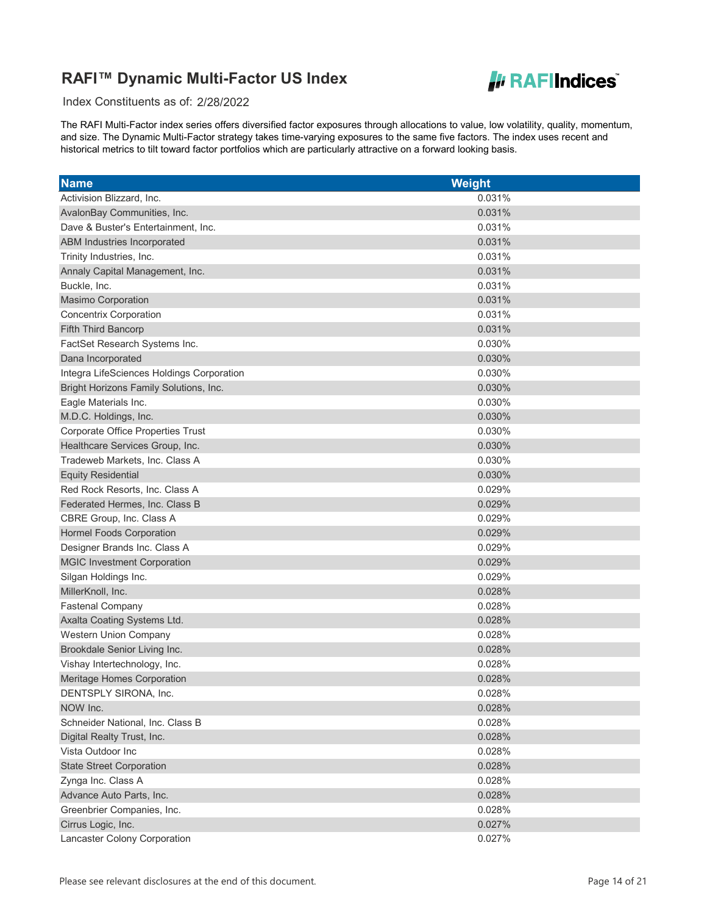

Index Constituents as of: 2/28/2022

| <b>Name</b>                               | Weight |
|-------------------------------------------|--------|
| Activision Blizzard, Inc.                 | 0.031% |
| AvalonBay Communities, Inc.               | 0.031% |
| Dave & Buster's Entertainment, Inc.       | 0.031% |
| ABM Industries Incorporated               | 0.031% |
| Trinity Industries, Inc.                  | 0.031% |
| Annaly Capital Management, Inc.           | 0.031% |
| Buckle, Inc.                              | 0.031% |
| <b>Masimo Corporation</b>                 | 0.031% |
| Concentrix Corporation                    | 0.031% |
| Fifth Third Bancorp                       | 0.031% |
| FactSet Research Systems Inc.             | 0.030% |
| Dana Incorporated                         | 0.030% |
| Integra LifeSciences Holdings Corporation | 0.030% |
| Bright Horizons Family Solutions, Inc.    | 0.030% |
| Eagle Materials Inc.                      | 0.030% |
| M.D.C. Holdings, Inc.                     | 0.030% |
| <b>Corporate Office Properties Trust</b>  | 0.030% |
| Healthcare Services Group, Inc.           | 0.030% |
| Tradeweb Markets, Inc. Class A            | 0.030% |
| <b>Equity Residential</b>                 | 0.030% |
| Red Rock Resorts, Inc. Class A            | 0.029% |
| Federated Hermes, Inc. Class B            | 0.029% |
| CBRE Group, Inc. Class A                  | 0.029% |
| <b>Hormel Foods Corporation</b>           | 0.029% |
| Designer Brands Inc. Class A              | 0.029% |
| <b>MGIC Investment Corporation</b>        | 0.029% |
| Silgan Holdings Inc.                      | 0.029% |
| MillerKnoll, Inc.                         | 0.028% |
| <b>Fastenal Company</b>                   | 0.028% |
| Axalta Coating Systems Ltd.               | 0.028% |
| Western Union Company                     | 0.028% |
| Brookdale Senior Living Inc.              | 0.028% |
| Vishay Intertechnology, Inc.              | 0.028% |
| Meritage Homes Corporation                | 0.028% |
| DENTSPLY SIRONA, Inc.                     | 0.028% |
| NOW Inc.                                  | 0.028% |
| Schneider National, Inc. Class B          | 0.028% |
| Digital Realty Trust, Inc.                | 0.028% |
| Vista Outdoor Inc                         | 0.028% |
| <b>State Street Corporation</b>           | 0.028% |
| Zynga Inc. Class A                        | 0.028% |
| Advance Auto Parts, Inc.                  | 0.028% |
| Greenbrier Companies, Inc.                | 0.028% |
| Cirrus Logic, Inc.                        | 0.027% |
| Lancaster Colony Corporation              | 0.027% |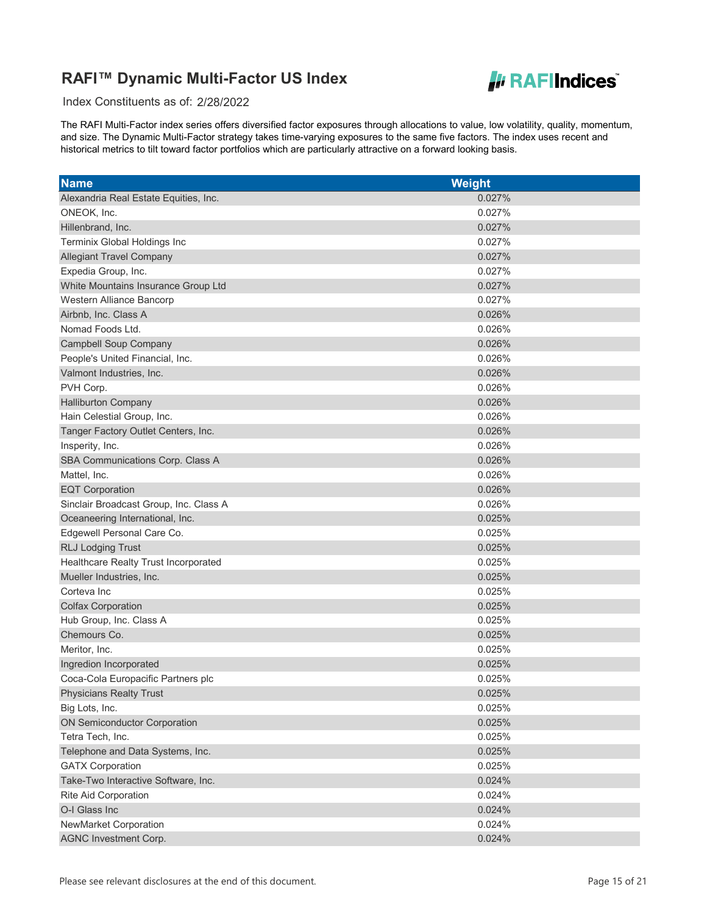

Index Constituents as of: 2/28/2022

| <b>Name</b>                            | <b>Weight</b> |
|----------------------------------------|---------------|
| Alexandria Real Estate Equities, Inc.  | 0.027%        |
| ONEOK, Inc.                            | 0.027%        |
| Hillenbrand, Inc.                      | 0.027%        |
| Terminix Global Holdings Inc           | 0.027%        |
| <b>Allegiant Travel Company</b>        | 0.027%        |
| Expedia Group, Inc.                    | 0.027%        |
| White Mountains Insurance Group Ltd    | 0.027%        |
| Western Alliance Bancorp               | 0.027%        |
| Airbnb, Inc. Class A                   | 0.026%        |
| Nomad Foods Ltd.                       | 0.026%        |
| <b>Campbell Soup Company</b>           | 0.026%        |
| People's United Financial, Inc.        | 0.026%        |
| Valmont Industries, Inc.               | 0.026%        |
| PVH Corp.                              | 0.026%        |
| <b>Halliburton Company</b>             | 0.026%        |
| Hain Celestial Group, Inc.             | 0.026%        |
| Tanger Factory Outlet Centers, Inc.    | 0.026%        |
| Insperity, Inc.                        | 0.026%        |
| SBA Communications Corp. Class A       | 0.026%        |
| Mattel, Inc.                           | 0.026%        |
| <b>EQT Corporation</b>                 | 0.026%        |
| Sinclair Broadcast Group, Inc. Class A | 0.026%        |
| Oceaneering International, Inc.        | 0.025%        |
| Edgewell Personal Care Co.             | 0.025%        |
| <b>RLJ Lodging Trust</b>               | 0.025%        |
| Healthcare Realty Trust Incorporated   | 0.025%        |
| Mueller Industries, Inc.               | 0.025%        |
| Corteva Inc                            | 0.025%        |
| <b>Colfax Corporation</b>              | 0.025%        |
| Hub Group, Inc. Class A                | 0.025%        |
| Chemours Co.                           | 0.025%        |
| Meritor, Inc.                          | 0.025%        |
| Ingredion Incorporated                 | 0.025%        |
| Coca-Cola Europacific Partners plc     | 0.025%        |
| <b>Physicians Realty Trust</b>         | 0.025%        |
| Big Lots, Inc.                         | 0.025%        |
| <b>ON Semiconductor Corporation</b>    | 0.025%        |
| Tetra Tech, Inc.                       | 0.025%        |
| Telephone and Data Systems, Inc.       | 0.025%        |
| <b>GATX Corporation</b>                | 0.025%        |
| Take-Two Interactive Software, Inc.    | 0.024%        |
| Rite Aid Corporation                   | 0.024%        |
| O-I Glass Inc                          | 0.024%        |
| NewMarket Corporation                  | 0.024%        |
| <b>AGNC Investment Corp.</b>           | 0.024%        |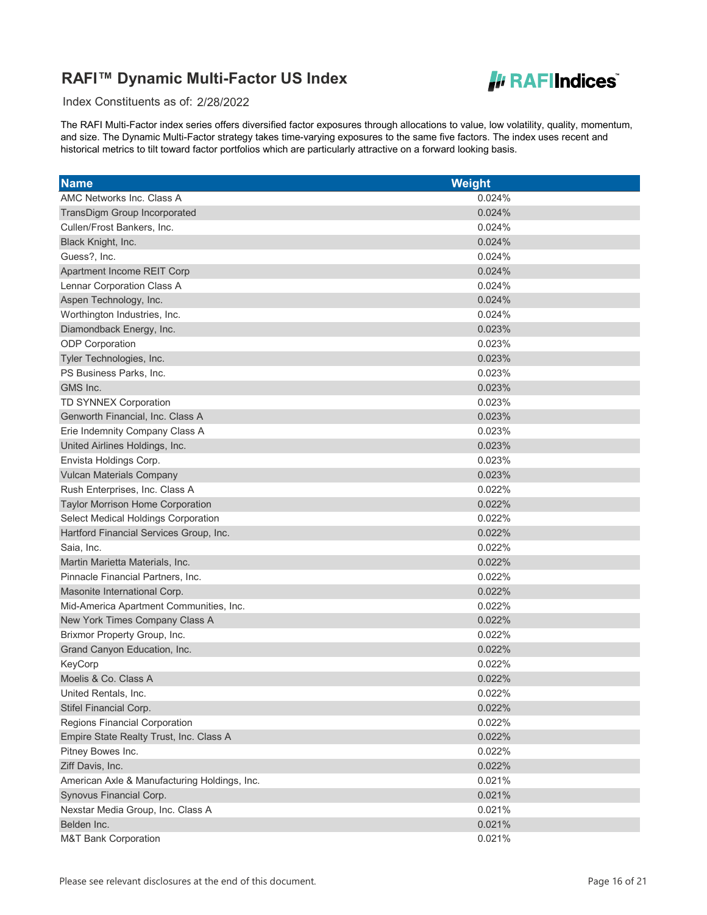

Index Constituents as of: 2/28/2022

| <b>Name</b>                                  | Weight |
|----------------------------------------------|--------|
| AMC Networks Inc. Class A                    | 0.024% |
| TransDigm Group Incorporated                 | 0.024% |
| Cullen/Frost Bankers, Inc.                   | 0.024% |
| Black Knight, Inc.                           | 0.024% |
| Guess?, Inc.                                 | 0.024% |
| Apartment Income REIT Corp                   | 0.024% |
| Lennar Corporation Class A                   | 0.024% |
| Aspen Technology, Inc.                       | 0.024% |
| Worthington Industries, Inc.                 | 0.024% |
| Diamondback Energy, Inc.                     | 0.023% |
| <b>ODP</b> Corporation                       | 0.023% |
| Tyler Technologies, Inc.                     | 0.023% |
| PS Business Parks, Inc.                      | 0.023% |
| GMS Inc.                                     | 0.023% |
| TD SYNNEX Corporation                        | 0.023% |
| Genworth Financial, Inc. Class A             | 0.023% |
| Erie Indemnity Company Class A               | 0.023% |
| United Airlines Holdings, Inc.               | 0.023% |
| Envista Holdings Corp.                       | 0.023% |
| <b>Vulcan Materials Company</b>              | 0.023% |
| Rush Enterprises, Inc. Class A               | 0.022% |
| <b>Taylor Morrison Home Corporation</b>      | 0.022% |
| <b>Select Medical Holdings Corporation</b>   | 0.022% |
| Hartford Financial Services Group, Inc.      | 0.022% |
| Saia, Inc.                                   | 0.022% |
| Martin Marietta Materials, Inc.              | 0.022% |
| Pinnacle Financial Partners, Inc.            | 0.022% |
| Masonite International Corp.                 | 0.022% |
| Mid-America Apartment Communities, Inc.      | 0.022% |
| New York Times Company Class A               | 0.022% |
| Brixmor Property Group, Inc.                 | 0.022% |
| Grand Canyon Education, Inc.                 | 0.022% |
| KeyCorp                                      | 0.022% |
| Moelis & Co. Class A                         | 0.022% |
| United Rentals, Inc.                         | 0.022% |
| Stifel Financial Corp.                       | 0.022% |
| <b>Regions Financial Corporation</b>         | 0.022% |
| Empire State Realty Trust, Inc. Class A      | 0.022% |
| Pitney Bowes Inc.                            | 0.022% |
| Ziff Davis, Inc.                             | 0.022% |
| American Axle & Manufacturing Holdings, Inc. | 0.021% |
| Synovus Financial Corp.                      | 0.021% |
| Nexstar Media Group, Inc. Class A            | 0.021% |
| Belden Inc.                                  | 0.021% |
| <b>M&amp;T Bank Corporation</b>              | 0.021% |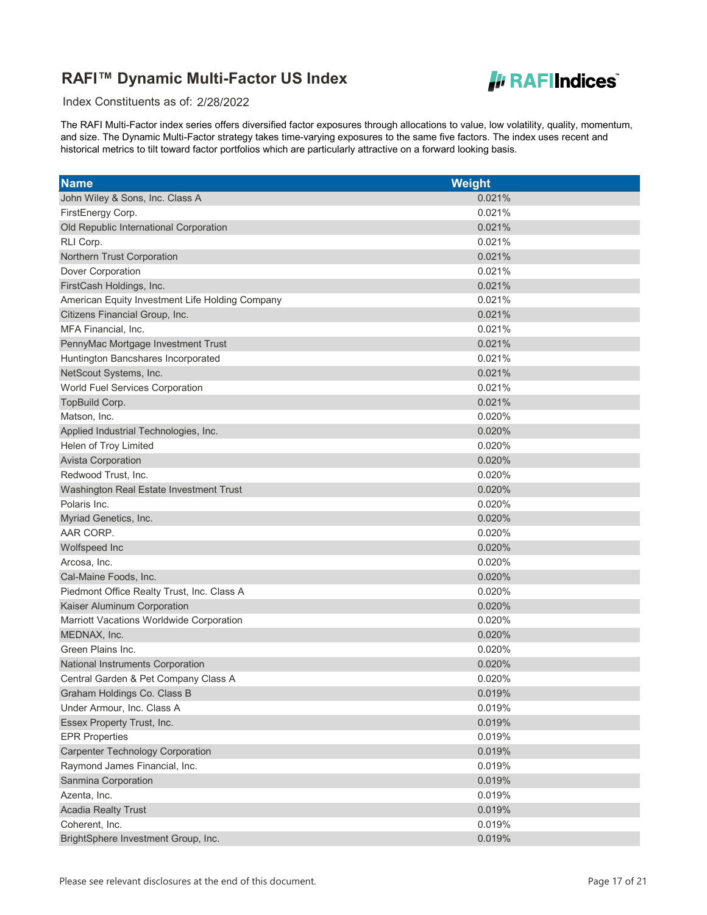

Index Constituents as of: 2/28/2022

| <b>Name</b>                                     | <b>Weight</b> |
|-------------------------------------------------|---------------|
| John Wiley & Sons, Inc. Class A                 | 0.021%        |
| FirstEnergy Corp.                               | 0.021%        |
| Old Republic International Corporation          | 0.021%        |
| RLI Corp.                                       | 0.021%        |
| Northern Trust Corporation                      | 0.021%        |
| Dover Corporation                               | 0.021%        |
| FirstCash Holdings, Inc.                        | 0.021%        |
| American Equity Investment Life Holding Company | 0.021%        |
| Citizens Financial Group, Inc.                  | 0.021%        |
| MFA Financial, Inc.                             | 0.021%        |
| PennyMac Mortgage Investment Trust              | 0.021%        |
| Huntington Bancshares Incorporated              | 0.021%        |
| NetScout Systems, Inc.                          | 0.021%        |
| World Fuel Services Corporation                 | 0.021%        |
| TopBuild Corp.                                  | 0.021%        |
| Matson, Inc.                                    | 0.020%        |
| Applied Industrial Technologies, Inc.           | 0.020%        |
| Helen of Troy Limited                           | 0.020%        |
| <b>Avista Corporation</b>                       | 0.020%        |
| Redwood Trust, Inc.                             | 0.020%        |
| Washington Real Estate Investment Trust         | 0.020%        |
| Polaris Inc.                                    | 0.020%        |
| Myriad Genetics, Inc.                           | 0.020%        |
| AAR CORP.                                       | 0.020%        |
| Wolfspeed Inc                                   | 0.020%        |
| Arcosa, Inc.                                    | 0.020%        |
| Cal-Maine Foods, Inc.                           | 0.020%        |
| Piedmont Office Realty Trust, Inc. Class A      | 0.020%        |
| Kaiser Aluminum Corporation                     | 0.020%        |
| Marriott Vacations Worldwide Corporation        | 0.020%        |
| MEDNAX, Inc.                                    | 0.020%        |
| Green Plains Inc.                               | 0.020%        |
| National Instruments Corporation                | 0.020%        |
| Central Garden & Pet Company Class A            | 0.020%        |
| Graham Holdings Co. Class B                     | 0.019%        |
| Under Armour, Inc. Class A                      | 0.019%        |
| Essex Property Trust, Inc.                      | 0.019%        |
| <b>EPR Properties</b>                           | 0.019%        |
| <b>Carpenter Technology Corporation</b>         | 0.019%        |
| Raymond James Financial, Inc.                   | 0.019%        |
| Sanmina Corporation                             | 0.019%        |
| Azenta, Inc.                                    | 0.019%        |
| <b>Acadia Realty Trust</b>                      | 0.019%        |
| Coherent, Inc.                                  | 0.019%        |
| BrightSphere Investment Group, Inc.             | 0.019%        |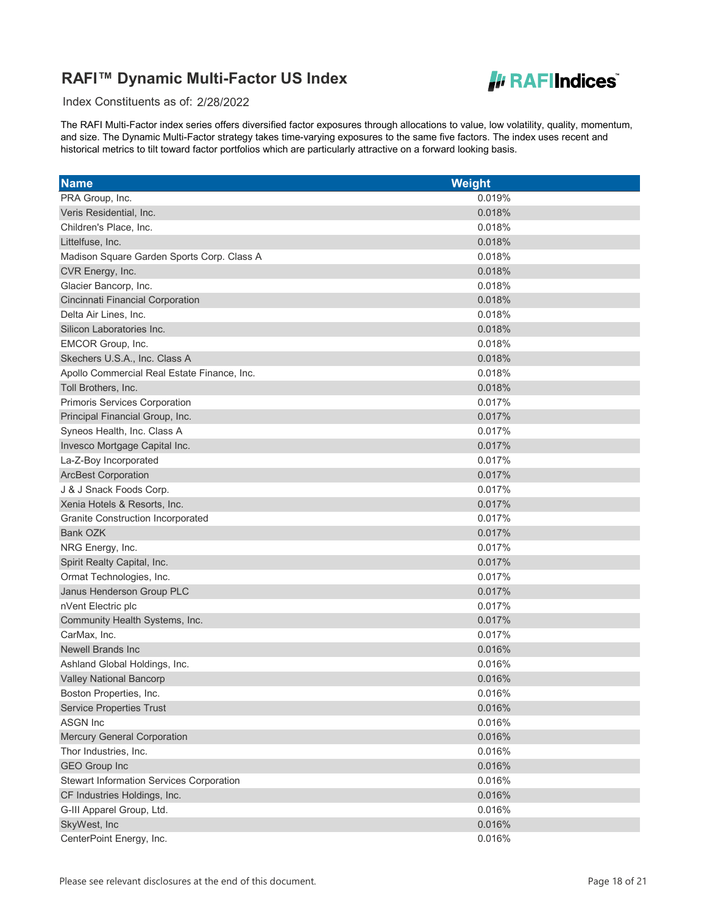

Index Constituents as of: 2/28/2022

| <b>Name</b>                                     | <b>Weight</b> |
|-------------------------------------------------|---------------|
| PRA Group, Inc.                                 | 0.019%        |
| Veris Residential, Inc.                         | 0.018%        |
| Children's Place, Inc.                          | 0.018%        |
| Littelfuse, Inc.                                | 0.018%        |
| Madison Square Garden Sports Corp. Class A      | 0.018%        |
| CVR Energy, Inc.                                | 0.018%        |
| Glacier Bancorp, Inc.                           | 0.018%        |
| Cincinnati Financial Corporation                | 0.018%        |
| Delta Air Lines, Inc.                           | 0.018%        |
| Silicon Laboratories Inc.                       | 0.018%        |
| EMCOR Group, Inc.                               | 0.018%        |
| Skechers U.S.A., Inc. Class A                   | 0.018%        |
| Apollo Commercial Real Estate Finance, Inc.     | 0.018%        |
| Toll Brothers, Inc.                             | 0.018%        |
| Primoris Services Corporation                   | 0.017%        |
| Principal Financial Group, Inc.                 | 0.017%        |
| Syneos Health, Inc. Class A                     | 0.017%        |
| Invesco Mortgage Capital Inc.                   | 0.017%        |
| La-Z-Boy Incorporated                           | 0.017%        |
| <b>ArcBest Corporation</b>                      | 0.017%        |
| J & J Snack Foods Corp.                         | 0.017%        |
| Xenia Hotels & Resorts, Inc.                    | 0.017%        |
| Granite Construction Incorporated               | 0.017%        |
| Bank OZK                                        | 0.017%        |
| NRG Energy, Inc.                                | 0.017%        |
| Spirit Realty Capital, Inc.                     | 0.017%        |
| Ormat Technologies, Inc.                        | 0.017%        |
| Janus Henderson Group PLC                       | 0.017%        |
| nVent Electric plc                              | 0.017%        |
| Community Health Systems, Inc.                  | 0.017%        |
| CarMax, Inc.                                    | 0.017%        |
| <b>Newell Brands Inc</b>                        | 0.016%        |
| Ashland Global Holdings, Inc.                   | 0.016%        |
| <b>Valley National Bancorp</b>                  | 0.016%        |
| Boston Properties, Inc.                         | 0.016%        |
| <b>Service Properties Trust</b>                 | 0.016%        |
| <b>ASGN Inc</b>                                 | 0.016%        |
| <b>Mercury General Corporation</b>              | 0.016%        |
| Thor Industries, Inc.                           | 0.016%        |
| <b>GEO Group Inc</b>                            | 0.016%        |
| <b>Stewart Information Services Corporation</b> | 0.016%        |
| CF Industries Holdings, Inc.                    | 0.016%        |
| G-III Apparel Group, Ltd.                       | 0.016%        |
| SkyWest, Inc                                    | 0.016%        |
| CenterPoint Energy, Inc.                        | 0.016%        |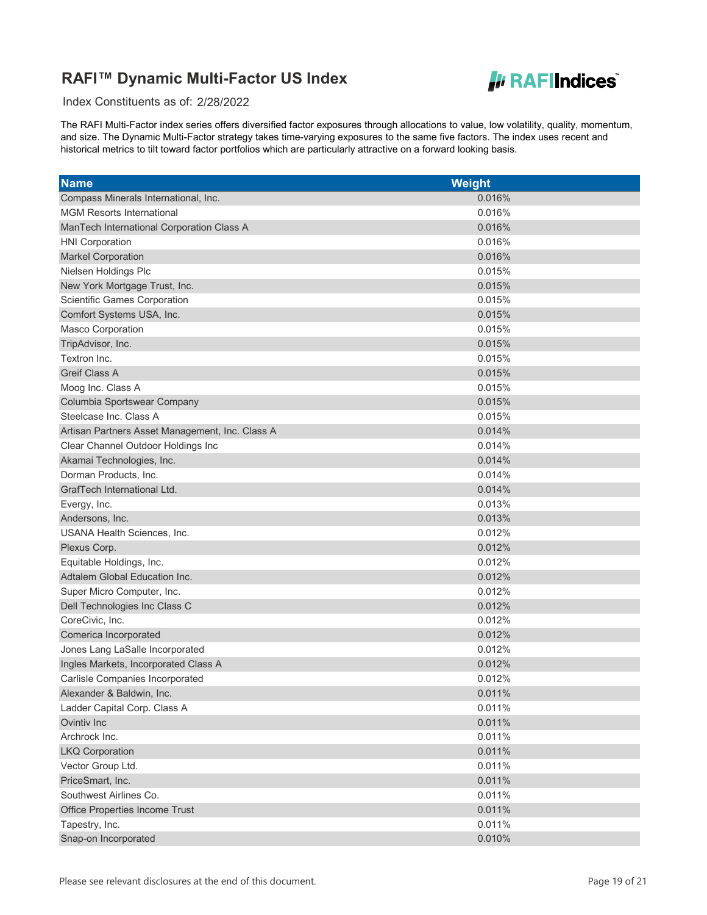

Index Constituents as of: 2/28/2022

| <b>Name</b>                                     | <b>Weight</b> |
|-------------------------------------------------|---------------|
| Compass Minerals International, Inc.            | 0.016%        |
| <b>MGM Resorts International</b>                | 0.016%        |
| ManTech International Corporation Class A       | 0.016%        |
| <b>HNI Corporation</b>                          | 0.016%        |
| <b>Markel Corporation</b>                       | 0.016%        |
| Nielsen Holdings Plc                            | 0.015%        |
| New York Mortgage Trust, Inc.                   | 0.015%        |
| Scientific Games Corporation                    | 0.015%        |
| Comfort Systems USA, Inc.                       | 0.015%        |
| Masco Corporation                               | 0.015%        |
| TripAdvisor, Inc.                               | 0.015%        |
| Textron Inc.                                    | 0.015%        |
| <b>Greif Class A</b>                            | 0.015%        |
| Moog Inc. Class A                               | 0.015%        |
| Columbia Sportswear Company                     | 0.015%        |
| Steelcase Inc. Class A                          | 0.015%        |
| Artisan Partners Asset Management, Inc. Class A | 0.014%        |
| Clear Channel Outdoor Holdings Inc              | 0.014%        |
| Akamai Technologies, Inc.                       | 0.014%        |
| Dorman Products, Inc.                           | 0.014%        |
| GrafTech International Ltd.                     | 0.014%        |
| Evergy, Inc.                                    | 0.013%        |
| Andersons, Inc.                                 | 0.013%        |
| <b>USANA Health Sciences, Inc.</b>              | 0.012%        |
| Plexus Corp.                                    | 0.012%        |
| Equitable Holdings, Inc.                        | 0.012%        |
| Adtalem Global Education Inc.                   | 0.012%        |
| Super Micro Computer, Inc.                      | 0.012%        |
| Dell Technologies Inc Class C                   | 0.012%        |
| CoreCivic, Inc.                                 | 0.012%        |
| Comerica Incorporated                           | 0.012%        |
| Jones Lang LaSalle Incorporated                 | 0.012%        |
| Ingles Markets, Incorporated Class A            | 0.012%        |
| Carlisle Companies Incorporated                 | 0.012%        |
| Alexander & Baldwin, Inc.                       | 0.011%        |
| Ladder Capital Corp. Class A                    | 0.011%        |
| Ovintiv Inc                                     | 0.011%        |
| Archrock Inc.                                   | 0.011%        |
| <b>LKQ Corporation</b>                          | 0.011%        |
| Vector Group Ltd.                               | 0.011%        |
| PriceSmart, Inc.                                | 0.011%        |
| Southwest Airlines Co.                          | 0.011%        |
| Office Properties Income Trust                  | 0.011%        |
| Tapestry, Inc.                                  | 0.011%        |
| Snap-on Incorporated                            | 0.010%        |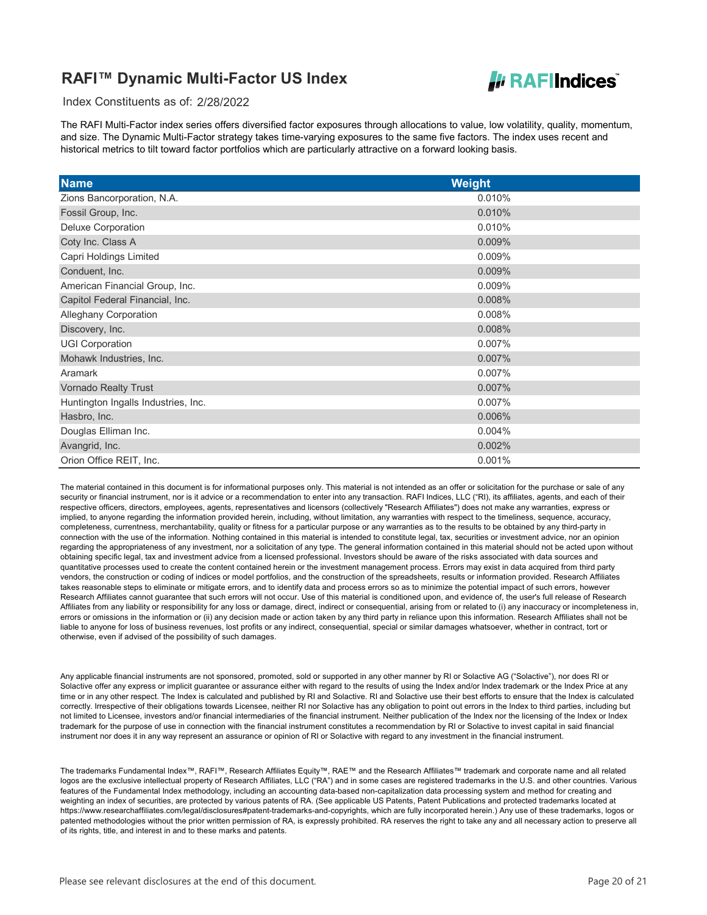

Index Constituents as of: 2/28/2022

The RAFI Multi-Factor index series offers diversified factor exposures through allocations to value, low volatility, quality, momentum, and size. The Dynamic Multi-Factor strategy takes time-varying exposures to the same five factors. The index uses recent and historical metrics to tilt toward factor portfolios which are particularly attractive on a forward looking basis.

| <b>Name</b>                         | <b>Weight</b> |
|-------------------------------------|---------------|
| Zions Bancorporation, N.A.          | 0.010%        |
| Fossil Group, Inc.                  | 0.010%        |
| Deluxe Corporation                  | 0.010%        |
| Coty Inc. Class A                   | 0.009%        |
| Capri Holdings Limited              | 0.009%        |
| Conduent, Inc.                      | 0.009%        |
| American Financial Group, Inc.      | 0.009%        |
| Capitol Federal Financial, Inc.     | 0.008%        |
| <b>Alleghany Corporation</b>        | 0.008%        |
| Discovery, Inc.                     | 0.008%        |
| <b>UGI Corporation</b>              | 0.007%        |
| Mohawk Industries, Inc.             | 0.007%        |
| Aramark                             | 0.007%        |
| <b>Vornado Realty Trust</b>         | 0.007%        |
| Huntington Ingalls Industries, Inc. | 0.007%        |
| Hasbro, Inc.                        | 0.006%        |
| Douglas Elliman Inc.                | 0.004%        |
| Avangrid, Inc.                      | 0.002%        |
| Orion Office REIT, Inc.             | 0.001%        |

The material contained in this document is for informational purposes only. This material is not intended as an offer or solicitation for the purchase or sale of any security or financial instrument, nor is it advice or a recommendation to enter into any transaction. RAFI Indices, LLC ("RI), its affiliates, agents, and each of their respective officers, directors, employees, agents, representatives and licensors (collectively "Research Affiliates") does not make any warranties, express or implied, to anyone regarding the information provided herein, including, without limitation, any warranties with respect to the timeliness, sequence, accuracy, completeness, currentness, merchantability, quality or fitness for a particular purpose or any warranties as to the results to be obtained by any third-party in connection with the use of the information. Nothing contained in this material is intended to constitute legal, tax, securities or investment advice, nor an opinion regarding the appropriateness of any investment, nor a solicitation of any type. The general information contained in this material should not be acted upon without obtaining specific legal, tax and investment advice from a licensed professional. Investors should be aware of the risks associated with data sources and quantitative processes used to create the content contained herein or the investment management process. Errors may exist in data acquired from third party vendors, the construction or coding of indices or model portfolios, and the construction of the spreadsheets, results or information provided. Research Affiliates takes reasonable steps to eliminate or mitigate errors, and to identify data and process errors so as to minimize the potential impact of such errors, however Research Affiliates cannot guarantee that such errors will not occur. Use of this material is conditioned upon, and evidence of, the user's full release of Research Affiliates from any liability or responsibility for any loss or damage, direct, indirect or consequential, arising from or related to (i) any inaccuracy or incompleteness in, errors or omissions in the information or (ii) any decision made or action taken by any third party in reliance upon this information. Research Affiliates shall not be liable to anyone for loss of business revenues, lost profits or any indirect, consequential, special or similar damages whatsoever, whether in contract, tort or otherwise, even if advised of the possibility of such damages.   

Any applicable financial instruments are not sponsored, promoted, sold or supported in any other manner by RI or Solactive AG ("Solactive"), nor does RI or Solactive offer any express or implicit guarantee or assurance either with regard to the results of using the Index and/or Index trademark or the Index Price at any time or in any other respect. The Index is calculated and published by RI and Solactive. RI and Solactive use their best efforts to ensure that the Index is calculated correctly. Irrespective of their obligations towards Licensee, neither RI nor Solactive has any obligation to point out errors in the Index to third parties, including but not limited to Licensee, investors and/or financial intermediaries of the financial instrument. Neither publication of the Index nor the licensing of the Index or Index trademark for the purpose of use in connection with the financial instrument constitutes a recommendation by RI or Solactive to invest capital in said financial instrument nor does it in any way represent an assurance or opinion of RI or Solactive with regard to any investment in the financial instrument.

The trademarks Fundamental Index™, RAFI™, Research Affiliates Equity™, RAE™ and the Research Affiliates™ trademark and corporate name and all related logos are the exclusive intellectual property of Research Affiliates, LLC ("RA") and in some cases are registered trademarks in the U.S. and other countries. Various features of the Fundamental Index methodology, including an accounting data-based non-capitalization data processing system and method for creating and weighting an index of securities, are protected by various patents of RA. (See applicable US Patents, Patent Publications and protected trademarks located at https://www.researchaffiliates.com/legal/disclosures#patent-trademarks-and-copyrights, which are fully incorporated herein.) Any use of these trademarks, logos or patented methodologies without the prior written permission of RA, is expressly prohibited. RA reserves the right to take any and all necessary action to preserve all of its rights, title, and interest in and to these marks and patents.